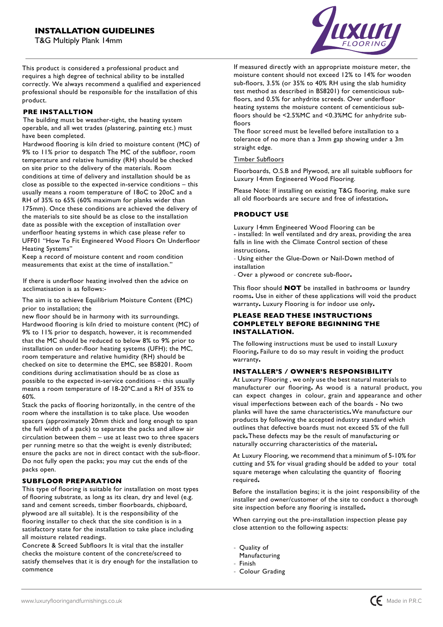T G Multiply Plank 14mm



This product is considered a professional product and requires a high degree of technical ability to be installed correctly. We always recommend a qualified and experienced professional should be responsible for the installation of this product

### **PRE INSTALLTION**

The building must be weather-tight, the heating system operable, and all wet trades (plastering, painting etc) must have been completed

Hardwood flooring is kiln dried to moisture content (MC) of 9% to 11% prior to despatch The MC of the subfloor, room temperature and relative humidity (6H) should be checked on site prior to the delivery of the materials. Room conditions at time of delivery and installation should be as close as possible to the expected in-service conditions  $-$  this usually means a room temperature of 18oC to 20oC and a RH of 35% to 65% (60% maximum for planks wider than 175mm). Once these conditions are achieved the delivery of the materials to site should be as close to the installation date as possible with the exception of installation over underfloor heating systems in which case please refer to UFF01 "How To Fit Engineered Wood Floors On Underfloor Heating Systems"

Keep a record of moisture content and room condition measurements that exist at the time of installation."

If there is underfloor heating involved then the advice on acclimatisation is as follows:-

The aim is to achieve Equilibrium Moisture Content (EMC) prior to installation; the

new floor should be in harmony with its surroundings Hardwood flooring is kiln dried to moisture content (MC) of 9% to 11% prior to despatch, however, it is recommended that the MC should be reduced to below 8% to 9% prior to installation on under-floor heating systems (UFH); the MC, room temperature and relative humidity (RH) should be checked on site to determine the EMC, see BS8201. Room conditions during acclimatisation should be as close as possible to the expected in-service conditions - this usually means a room temperature of 18-20°C and a RH of 35% to 60%

Stack the packs of flooring horizontally, in the centre of the room where the installation is to take place. Use wooden spacers (approximately 20mm thick and long enough to span the full width of a pack) to separate the packs and allow air  $circ$  circulation between them  $-$  use at least two to three spacers per running metre so that the weight is evenly distributed; ensure the packs are not in direct contact with the sub-floor Do not fully open the packs; you may cut the ends of the packs open

### **SUBFLOOR PREPARATION**

This type of flooring is suitable for installation on most types of flooring substrate, as long as its clean, dry and level (e.g. sand and cement screeds, timber floorboards, chipboard, plywood are all suitable). It is the responsibility of the flooring installer to check that the site condition is in a satisfactory state for the installation to take place including all moisture related readings

Concrete & Screed Subfloors It is vital that the installer checks the moisture content of the concrete/screed to satisfy themselves that it is dry enough for the installation to commence

If measured directly with an appropriate moisture meter, the moisture content should not exceed 12% to 14% for wooden sub-floors, 3.5% (or 35% to 40% RH using the slab humidity test method as described in BS8201) for cementicious subfloors, and 0.5% for anhydrite screeds. Over underfloor heating systems the moisture content of cementicious subfloors should be  $\leq$ 2.5%MC and  $\leq$ 0.3%MC for anhydrite subfloors

The floor screed must be levelled before installation to a tolerance of no more than a 3mm gap showing under a 3m straight edge

### Timber Subfloors

Floorboards, O.S.B and Plywood, are all suitable subfloors for Luxury 14mm Engineered Wood Flooring

Please Note: If installing on existing T&G flooring, make sure all old floorboards are secure and free of infestation**.**

# **PRODUCT USE**

Luxury 14mm Engineered Wood Flooring can be<br>- installed: In well ventilated and dry areas, providing the area falls in line with the Climate Control section of these instructions**.**

- Using either the Glue-Down or Nail-Down method of installation

- Over a plywood or concrete sub-floor**.**

This floor should **NOT** be installed in bathrooms or laundry rooms**.** Use in either of these applications will void the product warranty**.** Luxury Flooring is for indoor use only**.**

### **PLEASE READ THESE INSTRUCTIONS COMPLETELY BEFORE BEGINNING THE INSTALLATION.**

The following instructions must be used to install Luxury Flooring**.** Failure to do so may result in voiding the product warranty**.**

### **INSTALLER'S / OWNER'S RESPONSIBILITY**

At Luxury Flooring , we only use the best natural materials to manufacturer our flooring**.** As wood is a natural product, you can expect changes in colour, grain and appearance and other visual imperfections between each of the boards - No two planks will have the same characteristics**.**We manufacture our products by following the accepted industry standard which outlines that defective boards must not exceed 5% of the full pack**.**These defects may be the result of manufacturing or naturally occurring characteristics of the material**.** 

At Luxury Flooring, we recommend that a minimum of 5-10% for cutting and 5% for visual grading should be added to yourtotal square meterage when calculating the quantity offlooring required**.**

Before the installation begins; it is the joint responsibility of the installer and owner/customer of the site to conduct a thorough site inspection before any flooring is installed**.**

When carrying out the pre-installation inspection please pay close attention to the following aspects:

- Quality of
- Manufacturing
- Finish
- Colour Grading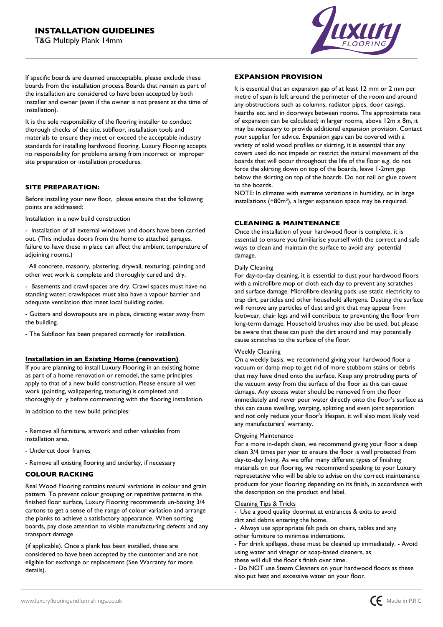

If specific boards are deemed unacceptable, please exclude these boards from the installation process. Boards that remain as part of the installation are considered to have been accepted by both installer and owner (even if the owner is not present at the time of installation)

It is the sole responsibility of the flooring installer to conduct thorough checks of the site, subfloor, installation tools and materials to ensure they meet or exceed the acceptable industry standards for installing hardwood flooring Luxury Flooring accepts no responsibility for problems arising from incorrect or improper site preparation or installation procedures

#### **SITE PREPARATION**

Before installing your new floor, please ensure that the following points are addressed:

Installation in a new build construction

- Installation of all external windows and doors have been carried out. (This includes doors from the home to attached garages, failure to have these in place can affect the ambient temperature of adjoining rooms)

 All concrete, masonry, plastering, drywall, texturing, painting and other wet work is complete and thoroughly cured and dry

- Basements and crawl spaces are dry. Crawl spaces must have no standing water; crawlspaces must also have a vapour barrier and adequate ventilation that meet local building codes

- Gutters and downspouts are in place, directing water away from the building

- The Subfloor has been prepared correctly for installation.

#### **Installation in an Existing Home (renovation)**

If you are planning to install Luxury Flooring in an existing home as part of a home renovation or remodel, the same principles apply to that of a new build construction. Please ensure all wet work (painting, wallpapering, texturing) is completed and thoroughly dr y before commencing with the flooring installation

In addition to the new build principles:

- Remove all furniture, artwork and other valuables from installation area

- Undercut door frames
- Remove all existing flooring and underlay, if necessary

#### **COLOUR RACKING**

Real Wood Flooring contains natural variations in colour and grain pattern. To prevent colour grouping or repetitive patterns in the finished floor surface, Luxury Flooring recommends un-boxing 3/4 cartons to get a sense of the range of colour variation and arrange the planks to achieve a satisfactory appearance When sorting boards, pay close attention to visible manufacturing defects and any transport damage

(if applicable). Once a plank has been installed, these are considered to have been accepted by the customer and are not eligible for exchange or replacement (See Warranty for more details).

#### **EXPANSION PROVISION**

It is essential that an expansion gap of at least 12 mm or 2 mm per metre of span is left around the perimeter of the room and around any obstructions such as columns, radiator pipes, door casings, hearths etc. and in doorways between rooms. The approximate rate of expansion can be calculated; in larger rooms, above  $12m \times 8m$ , it may be necessary to provide additional expansion provision Contact your supplier for advice. Expansion gaps can be covered with a variety of solid wood profiles or skirting, it is essential that any covers used do not impede or restrict the natural movement of the boards that will occur throughout the life of the floor e.g. do not force the skirting down on top of the boards, leave 1-2mm gap below the skirting on top of the boards. Do not nail or glue covers to the boards

NOTE: In climates with extreme variations in humidity, or in large installations  $(+80m^2)$ , a larger expansion space may be required.

### **CLEANING MAINTENANCE**

Once the installation of your hardwood floor is complete, it is essential to ensure you familiarise yourself with the correct and safe ways to clean and maintain the surface to avoid any potential damage

#### Daily Cleaning

For day-to-day cleaning, it is essential to dust your hardwood floors with a microfibre mop or cloth each day to prevent any scratches and surface damage. Microfibre cleaning pads use static electricity to trap dirt, particles and other household allergens. Dusting the surface will remove any particles of dust and grit that may appear from footwear, chair legs and will contribute to preventing the floor from long-term damage. Household brushes may also be used, but please be aware that these can push the dirt around and may potentially cause scratches to the surface of the floor

#### Weekly Cleaning

On a weekly basis, we recommend giving your hardwood floor a vacuum or damp mop to get rid of more stubborn stains or debris that may have dried onto the surface. Keep any protruding parts of the vacuum away from the surface of the floor as this can cause damage. Any excess water should be removed from the floor immediately and never pour water directly onto the floor´s surface as this can cause swelling, warping, splitting and even joint separation and not only reduce your floor´s lifespan, it will also most likely void any manufacturers´ warranty

#### **Ongoing Maintenance**

For a more in-depth clean, we recommend giving your floor a deep clean 3/4 times per year to ensure the floor is well protected from day-to-day living. As we offer many different types of finishing materials on our flooring, we recommend speaking to your Luxury represetative who will be able to advise on the correct maintenance products for your flooring depending on its finish, in accordance with the description on the product end label

#### Cleaning Tips & Tricks

- Use a good quality doormat at entrances & exits to avoid dirt and debris entering the home.

- Always use appropriate felt pads on chairs, tables and any other furniture to minimise indentations

- For drink spillages, these must be cleaned up immediately - Avoid using water and vinegar or soap-based cleaners, as

these will dull the floor´s finish over time

- Do NOT use Steam Cleaners on your hardwood floors as these also put heat and excessive water on your floor.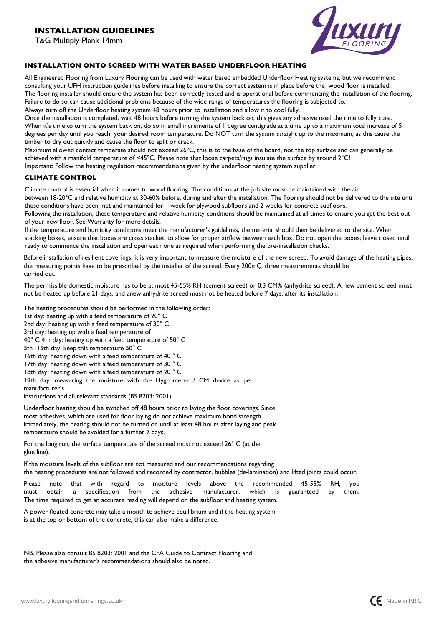T G Multiply Plank 14mm



## **INSTALLATION ONTO SCREED WITH WATER BASED UNDERFLOOR HEATING**

All Engineered Flooring from Luxury Flooring can be used with water based embedded Underfloor Heating systems, but we recommend consulting your UFH instruction guidelines before installing to ensure the correct system is in place before the wood floor is installed The flooring installer should ensure the system has been correctly tested and is operational before commencing the installation of the flooring. Failure to do so can cause additional problems because of the wide range of temperatures the flooring is subjected to.

Always turn off the Underfloor heating system 48 hours prior to installation and allow it to cool fully.

Once the installation is completed, wait 48 hours before turning the system back on, this gives any adhesive used the time to fully cure. When it's time to turn the system back on, do so in small increments of I degree centigrade at a time up to a maximum total increase of 5 degrees per day until you reach your desired room temperature. Do NOT turn the system straight up to the maximum, as this cause the timber to dry out quickly and cause the floor to split or crack

Maximum allowed contact temperate should not exceed 26°C, this is to the base of the board, not the top surface and can generally be achieved with a manifold temperature of <45°C. Please note that loose carpets/rugs insulate the surface by around  $2^{\circ}C!$ Important: Follow the heating regulation recommendations given by the underfloor heating system supplier

### **CLIMATE CONTROL**

Climate control is essential when it comes to wood flooring The conditions at the job site must be maintained with the air between 18-20°C and relative humidity at 30-60% before, during and after the installation. The flooring should not be delivered to the site until these conditions have been met and maintained for 1 week for plywood subfloors and 2 weeks for concrete subfloors.

Following the installation, these temperature and relative humidity conditions should be maintained at all times to ensure you get the best out of your new floor. See Warranty for more details.

If the temperature and humidity conditions meet the manufacturer's guidelines, the material should then be delivered to the site. When stacking boxes, ensure that boxes are cross stacked to allow for proper airflow between each box. Do not open the boxes; leave closed until ready to commence the installation and open each one as required when performing the pre-installation checks

Before installation of resilient coverings, it is very important to measure the moisture of the new screed To avoid damage of the heating pipes, the measuring points have to be prescribed by the installer of the screed. Every 200mÇ, three measurements should be carried out

The permissible domestic moisture has to be at most 45-55% RH (cement screed) or 0.3 CM% (anhydrite screed). A new cement screed must not be heated up before 21 days, and anew anhydrite screed must not be heated before 7 days, after its installation.

The heating procedures should be performed in the following order:

- 1st day: heating up with a feed temperature of 20° C
- 2nd day: heating up with a feed temperature of  $30^{\circ}$  C
- 3rd day: heating up with a feed temperature of
- $40^{\circ}$  C 4th day: heating up with a feed temperature of  $50^{\circ}$  C
- 5th -15th day: keep this temperature 50° C
- 16th day: heating down with a feed temperature of 40 °C
- 17th day: heating down with a feed temperature of 30  $^{\circ}$  C
- 18th day: heating down with a feed temperature of 20  $^{\circ}$  C

19th day: measuring the moisture with the Hygrometer / CM device as per manufacturer´s

instructions and all relevant standards (BS 8203: 2001)

Underfloor heating should be switched off 48 hours prior to laying the floor coverings. Since most adhesives, which are used for floor laying do not achieve maximum bond strength immediately, the heating should not be turned on until at least 48 hours after laying and peak temperature should be avoided for a further 7 days.

For the long run, the surface temperature of the screed must not exceed  $26^{\circ}$  C (at the glue line).

If the moisture levels of the subfloor are not measured and our recommendations regarding the heating procedures are not followed and recorded by contractor, bubbles (de-lamination) and lifted joints could occur

Please note that with regard to moisture levels above the recommended 45-55% 6H, you must obtain a specification from the adhesive manufacturer, which is guaranteed by them The time required to get an accurate reading will depend on the subfloor and heating system.

A power floated concrete may take a month to achieve equilibrium and if the heating system is at the top or bottom of the concrete, this can also make a difference

NB. Please also consult BS 8203: 2001 and the CFA Guide to Contract Flooring and the adhesive manufacturer´s recommendations should also be noted

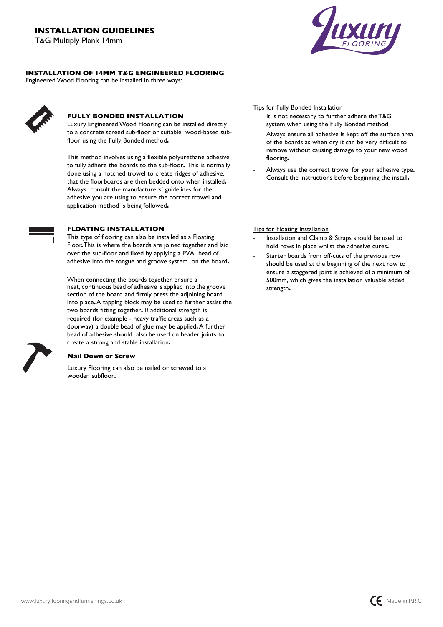T G Multiply Plank 14mm



## **INSTALLATION OF 14MM T&G ENGINEERED FLOORING**

Engineered Wood Flooring can be installed in three ways:

## **FULLY BONDED INSTALLATION**

Luxury Engineered Wood Flooring can be installed directly to a concrete screed sub-floor or suitablewood-based subfloor using the Fully Bonded method**.** 

This method involves using a flexible polyurethane adhesive to fully adhere the boards to the sub-floor**.** This is normally done using a notched trowel to create ridges of adhesive, that the floorboards are then bedded onto when installed**.**  Alwaysconsult the manufacturers´ guidelines for the adhesive you are using to ensure the correct trowel and application method is being followed**.**



# **FLOATING INSTALLATION**

This type of flooring can also be installed as a Floating Floor**.** This is where the boards are joined together and laid over the sub-floor and fixed by applying a PVA bead of adhesive into the tongue and groove systemon the board**.** 

When connecting the boards together, ensure a neat, continuous bead of adhesive is applied into the groove section of the board and firmly press the adjoining board into place**.** A tapping block may be used to further assist the two boards fitting together**.** If additional strength is required (for example - heavy traffic areas such as a doorway) a double bead of glue may be applied**.** A further bead of adhesive shouldalso be used on header joints to create a strong and stable installation**.** 

### **Nail Down or Screw**

Luxury Flooring can also be nailed or screwed to a wooden subfloor**.**

Tips for Fully Bonded Installation

- It is not necessary to further adhere the T&G system when using the Fully Bonded method
- Always ensure all adhesive is kept off the surface area of the boards as when dry it can be very difficult to remove without causing damage to your new wood flooring**.**
- Always use the correct trowel for your adhesive type**.** Consult the instructions before beginning the install**.**

### Tips for Floating Installation

- Installation and Clamp & Straps should be used to hold rows in place whilst the adhesive cures**.**
- Starter boards from off-cuts of the previous row should be used at the beginning of the next row to ensure a staggered joint is achieved of a minimum of 500mm, which gives the installation valuable added strength**.**